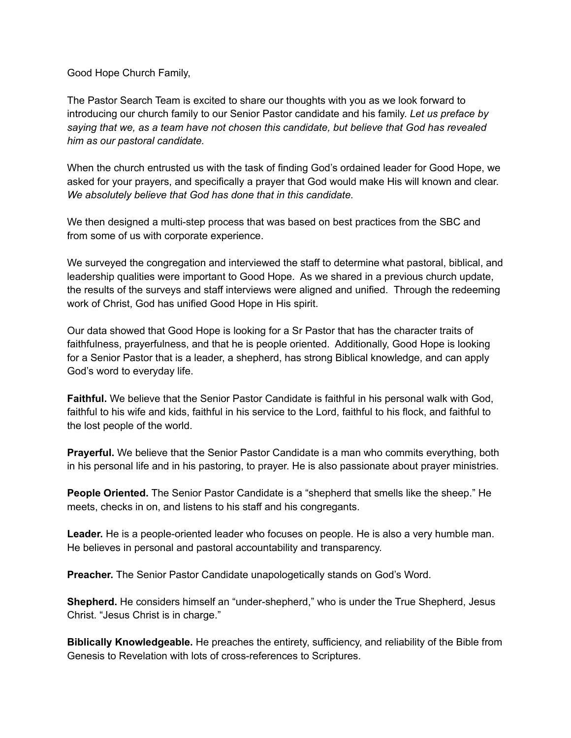Good Hope Church Family,

The Pastor Search Team is excited to share our thoughts with you as we look forward to introducing our church family to our Senior Pastor candidate and his family. *Let us preface by saying that we, as a team have not chosen this candidate, but believe that God has revealed him as our pastoral candidate.*

When the church entrusted us with the task of finding God's ordained leader for Good Hope, we asked for your prayers, and specifically a prayer that God would make His will known and clear. *We absolutely believe that God has done that in this candidate.*

We then designed a multi-step process that was based on best practices from the SBC and from some of us with corporate experience.

We surveyed the congregation and interviewed the staff to determine what pastoral, biblical, and leadership qualities were important to Good Hope. As we shared in a previous church update, the results of the surveys and staff interviews were aligned and unified. Through the redeeming work of Christ, God has unified Good Hope in His spirit.

Our data showed that Good Hope is looking for a Sr Pastor that has the character traits of faithfulness, prayerfulness, and that he is people oriented. Additionally, Good Hope is looking for a Senior Pastor that is a leader, a shepherd, has strong Biblical knowledge, and can apply God's word to everyday life.

**Faithful.** We believe that the Senior Pastor Candidate is faithful in his personal walk with God, faithful to his wife and kids, faithful in his service to the Lord, faithful to his flock, and faithful to the lost people of the world.

**Prayerful.** We believe that the Senior Pastor Candidate is a man who commits everything, both in his personal life and in his pastoring, to prayer. He is also passionate about prayer ministries.

**People Oriented.** The Senior Pastor Candidate is a "shepherd that smells like the sheep." He meets, checks in on, and listens to his staff and his congregants.

**Leader.** He is a people-oriented leader who focuses on people. He is also a very humble man. He believes in personal and pastoral accountability and transparency.

**Preacher.** The Senior Pastor Candidate unapologetically stands on God's Word.

**Shepherd.** He considers himself an "under-shepherd," who is under the True Shepherd, Jesus Christ. "Jesus Christ is in charge."

**Biblically Knowledgeable.** He preaches the entirety, sufficiency, and reliability of the Bible from Genesis to Revelation with lots of cross-references to Scriptures.